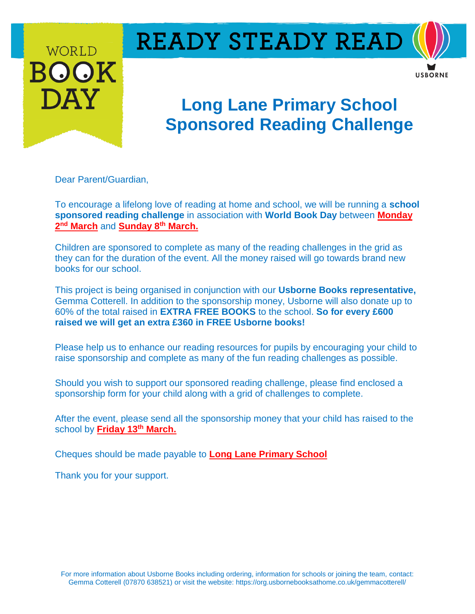

# **READY STEADY READ**



## **Long Lane Primary School Sponsored Reading Challenge**

Dear Parent/Guardian,

To encourage a lifelong love of reading at home and school, we will be running a **school sponsored reading challenge** in association with **World Book Day** between **Monday 2 nd March** and **Sunday 8th March.** 

Children are sponsored to complete as many of the reading challenges in the grid as they can for the duration of the event. All the money raised will go towards brand new books for our school.

This project is being organised in conjunction with our **Usborne Books representative,** Gemma Cotterell. In addition to the sponsorship money, Usborne will also donate up to 60% of the total raised in **EXTRA FREE BOOKS** to the school. **So for every £600 raised we will get an extra £360 in FREE Usborne books!** 

Please help us to enhance our reading resources for pupils by encouraging your child to raise sponsorship and complete as many of the fun reading challenges as possible.

Should you wish to support our sponsored reading challenge, please find enclosed a sponsorship form for your child along with a grid of challenges to complete.

After the event, please send all the sponsorship money that your child has raised to the school by **Friday 13<sup>th</sup> March.** 

Cheques should be made payable to **Long Lane Primary School**

Thank you for your support.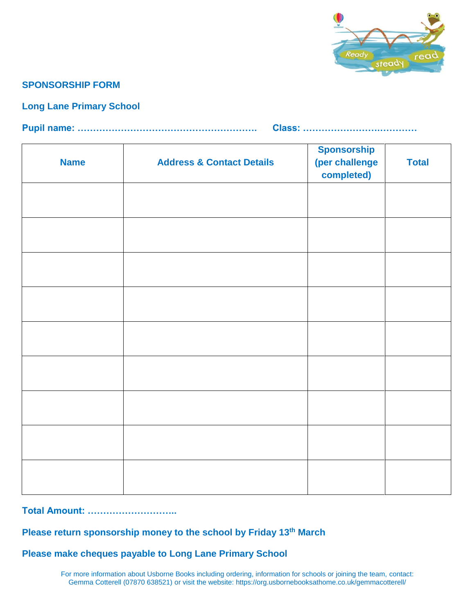

#### **SPONSORSHIP FORM**

#### **Long Lane Primary School**

**Pupil name: …………………………………………………. Class: …………………….…………**

| <b>Name</b> | <b>Address &amp; Contact Details</b> | <b>Sponsorship</b><br>(per challenge<br>completed) | <b>Total</b> |
|-------------|--------------------------------------|----------------------------------------------------|--------------|
|             |                                      |                                                    |              |
|             |                                      |                                                    |              |
|             |                                      |                                                    |              |
|             |                                      |                                                    |              |
|             |                                      |                                                    |              |
|             |                                      |                                                    |              |
|             |                                      |                                                    |              |
|             |                                      |                                                    |              |
|             |                                      |                                                    |              |

#### **Total Amount: ………………………..**

#### **Please return sponsorship money to the school by Friday 13<sup>th</sup> March**

**Please make cheques payable to Long Lane Primary School**

For more information about Usborne Books including ordering, information for schools or joining the team, contact: Gemma Cotterell (07870 638521) or visit the website: https://org.usbornebooksathome.co.uk/gemmacotterell/